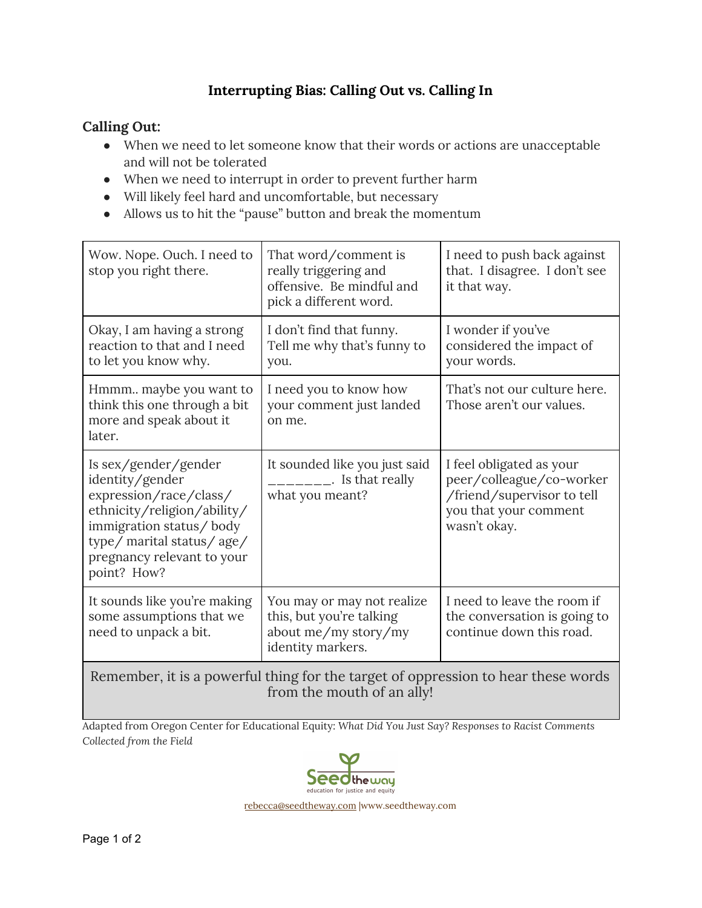## **Interrupting Bias: Calling Out vs. Calling In**

## **Calling Out:**

- When we need to let someone know that their words or actions are unacceptable and will not be tolerated
- When we need to interrupt in order to prevent further harm
- Will likely feel hard and uncomfortable, but necessary
- Allows us to hit the "pause" button and break the momentum

| Wow. Nope. Ouch. I need to<br>stop you right there.                                                                                                                                                   | That word/comment is<br>really triggering and<br>offensive. Be mindful and<br>pick a different word. | I need to push back against<br>that. I disagree. I don't see<br>it that way.                                                |  |
|-------------------------------------------------------------------------------------------------------------------------------------------------------------------------------------------------------|------------------------------------------------------------------------------------------------------|-----------------------------------------------------------------------------------------------------------------------------|--|
| Okay, I am having a strong<br>reaction to that and I need<br>to let you know why.                                                                                                                     | I don't find that funny.<br>Tell me why that's funny to<br>you.                                      | I wonder if you've<br>considered the impact of<br>your words.                                                               |  |
| Hmmm maybe you want to<br>think this one through a bit<br>more and speak about it<br>later.                                                                                                           | I need you to know how<br>your comment just landed<br>on me.                                         | That's not our culture here.<br>Those aren't our values.                                                                    |  |
| Is sex/gender/gender<br>identity/gender<br>expression/race/class/<br>ethnicity/religion/ability/<br>immigration status/body<br>type/ marital status/age/<br>pregnancy relevant to your<br>point? How? | It sounded like you just said<br>Is that really<br>what you meant?                                   | I feel obligated as your<br>peer/colleague/co-worker<br>/friend/supervisor to tell<br>you that your comment<br>wasn't okay. |  |
| It sounds like you're making<br>some assumptions that we<br>need to unpack a bit.                                                                                                                     | You may or may not realize<br>this, but you're talking<br>about me/my story/my<br>identity markers.  | I need to leave the room if<br>the conversation is going to<br>continue down this road.                                     |  |
| Remember, it is a powerful thing for the target of oppression to hear these words<br>from the mouth of an ally!                                                                                       |                                                                                                      |                                                                                                                             |  |

Adapted from Oregon Center for Educational Equity: *What Did You Just Say? Responses to Racist Comments Collected from the Field*



[rebecca@seedtheway.com](mailto:rebecca@seedtheway.com) |www.seedtheway.com